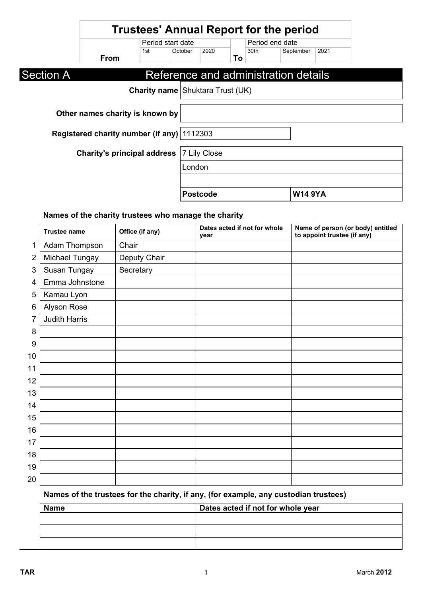|                  |                                            |                                         |         |                 |    |                 | <b>Trustees' Annual Report for the period</b> |      |
|------------------|--------------------------------------------|-----------------------------------------|---------|-----------------|----|-----------------|-----------------------------------------------|------|
|                  |                                            | Period start date                       |         |                 |    | Period end date |                                               |      |
|                  | <b>From</b>                                | 1st                                     | October | 2020            | To | 30th            | September                                     | 2021 |
| <b>Section A</b> |                                            |                                         |         |                 |    |                 | Reference and administration details          |      |
|                  |                                            | <b>Charity name Shuktara Trust (UK)</b> |         |                 |    |                 |                                               |      |
|                  | Other names charity is known by            |                                         |         |                 |    |                 |                                               |      |
|                  | Registered charity number (if any) 1112303 |                                         |         |                 |    |                 |                                               |      |
|                  | <b>Charity's principal address</b>         |                                         |         | 7 Lily Close    |    |                 |                                               |      |
|                  |                                            |                                         | London  |                 |    |                 |                                               |      |
|                  |                                            |                                         |         |                 |    |                 |                                               |      |
|                  |                                            |                                         |         | <b>Postcode</b> |    |                 | <b>W14 9YA</b>                                |      |

## **Names of the charity trustees who manage the charity**

|                | <b>Trustee name</b>  | Office (if any) | Dates acted if not for whole<br>year | Name of person (or body) entitled<br>to appoint trustee (if any) |
|----------------|----------------------|-----------------|--------------------------------------|------------------------------------------------------------------|
| 1              | Adam Thompson        | Chair           |                                      |                                                                  |
| $\overline{2}$ | Michael Tungay       | Deputy Chair    |                                      |                                                                  |
| 3              | Susan Tungay         | Secretary       |                                      |                                                                  |
| 4              | Emma Johnstone       |                 |                                      |                                                                  |
| 5              | Kamau Lyon           |                 |                                      |                                                                  |
| 6              | Alyson Rose          |                 |                                      |                                                                  |
| 7              | <b>Judith Harris</b> |                 |                                      |                                                                  |
| 8              |                      |                 |                                      |                                                                  |
| 9              |                      |                 |                                      |                                                                  |
| 10             |                      |                 |                                      |                                                                  |
| 11             |                      |                 |                                      |                                                                  |
| 12             |                      |                 |                                      |                                                                  |
| 13             |                      |                 |                                      |                                                                  |
| 14             |                      |                 |                                      |                                                                  |
| 15             |                      |                 |                                      |                                                                  |
| 16             |                      |                 |                                      |                                                                  |
| 17             |                      |                 |                                      |                                                                  |
| 18             |                      |                 |                                      |                                                                  |
| 19             |                      |                 |                                      |                                                                  |
| 20             |                      |                 |                                      |                                                                  |

## **Names of the trustees for the charity, if any, (for example, any custodian trustees)**

| <b>Name</b> | Dates acted if not for whole year |  |
|-------------|-----------------------------------|--|
|             |                                   |  |
|             |                                   |  |
|             |                                   |  |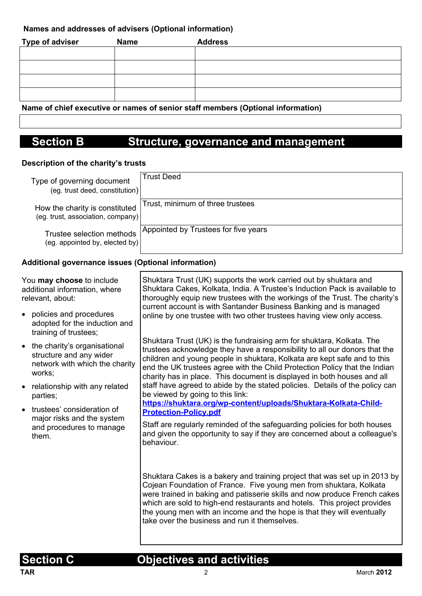### **Names and addresses of advisers (Optional information)**

| Type of adviser | <b>Name</b> | <b>Address</b> |
|-----------------|-------------|----------------|
|                 |             |                |
|                 |             |                |
|                 |             |                |
|                 |             |                |

**Name of chief executive or names of senior staff members (Optional information)**

# **Section B Structure, governance and management**

#### **Description of the charity's trusts**

| Type of governing document<br>$($ eg. trust deed, constitution $) $ | <b>Trust Deed</b>                    |
|---------------------------------------------------------------------|--------------------------------------|
| How the charity is constituted<br>(eg. trust, association, company) | Trust, minimum of three trustees     |
| Trustee selection methods<br>(eg. appointed by, elected by)         | Appointed by Trustees for five years |

#### **Additional governance issues (Optional information)**

| You may choose to include<br>additional information, where<br>relevant, about: |                                                                                                       | Shuktara Trust (UK) supports the work carried out by shuktara and<br>Shuktara Cakes, Kolkata, India. A Trustee's Induction Pack is available to<br>thoroughly equip new trustees with the workings of the Trust. The charity's<br>current account is with Santander Business Banking and is managed                                                                                                                                  |  |
|--------------------------------------------------------------------------------|-------------------------------------------------------------------------------------------------------|--------------------------------------------------------------------------------------------------------------------------------------------------------------------------------------------------------------------------------------------------------------------------------------------------------------------------------------------------------------------------------------------------------------------------------------|--|
|                                                                                | policies and procedures<br>adopted for the induction and<br>training of trustees;                     | online by one trustee with two other trustees having view only access.                                                                                                                                                                                                                                                                                                                                                               |  |
|                                                                                | • the charity's organisational<br>structure and any wider<br>network with which the charity<br>works; | Shuktara Trust (UK) is the fundraising arm for shuktara, Kolkata. The<br>trustees acknowledge they have a responsibility to all our donors that the<br>children and young people in shuktara, Kolkata are kept safe and to this<br>end the UK trustees agree with the Child Protection Policy that the Indian<br>charity has in place. This document is displayed in both houses and all                                             |  |
|                                                                                | relationship with any related<br>parties;                                                             | staff have agreed to abide by the stated policies. Details of the policy can<br>be viewed by going to this link:                                                                                                                                                                                                                                                                                                                     |  |
|                                                                                | trustees' consideration of<br>major risks and the system<br>and procedures to manage<br>them.         | https://shuktara.org/wp-content/uploads/Shuktara-Kolkata-Child-<br><b>Protection-Policy.pdf</b><br>Staff are regularly reminded of the safeguarding policies for both houses<br>and given the opportunity to say if they are concerned about a colleague's<br>behaviour.                                                                                                                                                             |  |
|                                                                                |                                                                                                       | Shuktara Cakes is a bakery and training project that was set up in 2013 by<br>Cojean Foundation of France. Five young men from shuktara, Kolkata<br>were trained in baking and patisserie skills and now produce French cakes<br>which are sold to high-end restaurants and hotels. This project provides<br>the young men with an income and the hope is that they will eventually<br>take over the business and run it themselves. |  |

## **Section C Objectives and activities**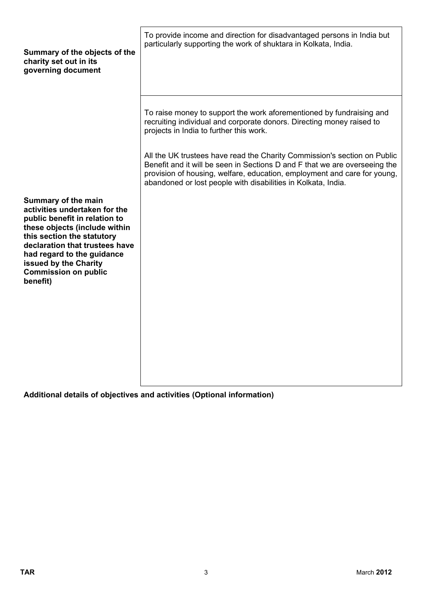| particularly supporting the work of shuktara in Kolkata, India.                                                                                                                                                                                                                                     |
|-----------------------------------------------------------------------------------------------------------------------------------------------------------------------------------------------------------------------------------------------------------------------------------------------------|
| To raise money to support the work aforementioned by fundraising and<br>recruiting individual and corporate donors. Directing money raised to<br>projects in India to further this work.                                                                                                            |
| All the UK trustees have read the Charity Commission's section on Public<br>Benefit and it will be seen in Sections D and F that we are overseeing the<br>provision of housing, welfare, education, employment and care for young,<br>abandoned or lost people with disabilities in Kolkata, India. |
|                                                                                                                                                                                                                                                                                                     |
|                                                                                                                                                                                                                                                                                                     |

**Additional details of objectives and activities (Optional information)**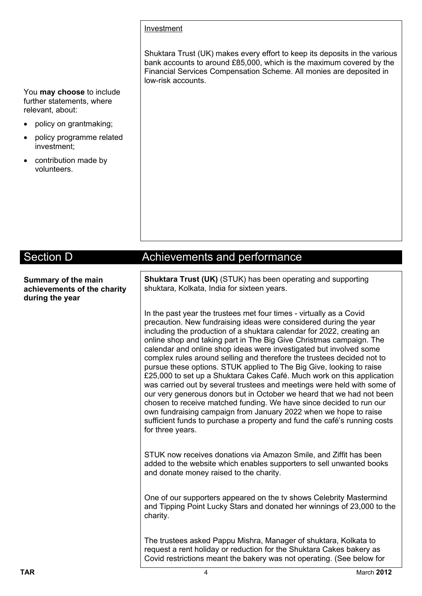#### **Investment**

Shuktara Trust (UK) makes every effort to keep its deposits in the various bank accounts to around £85,000, which is the maximum covered by the Financial Services Compensation Scheme. All monies are deposited in low-risk accounts.

You **may choose** to include further statements, where relevant, about:

- policy on grantmaking;
- policy programme related investment;
- contribution made by volunteers.

| <b>Section D</b>                                                      | <b>Achievements and performance</b>                                                                                                                                                                                                                                                                                                                                                                                                                                                                                                                                                                                                                                                                                                                                                                                                                                                                                                                                                        |
|-----------------------------------------------------------------------|--------------------------------------------------------------------------------------------------------------------------------------------------------------------------------------------------------------------------------------------------------------------------------------------------------------------------------------------------------------------------------------------------------------------------------------------------------------------------------------------------------------------------------------------------------------------------------------------------------------------------------------------------------------------------------------------------------------------------------------------------------------------------------------------------------------------------------------------------------------------------------------------------------------------------------------------------------------------------------------------|
|                                                                       |                                                                                                                                                                                                                                                                                                                                                                                                                                                                                                                                                                                                                                                                                                                                                                                                                                                                                                                                                                                            |
| Summary of the main<br>achievements of the charity<br>during the year | <b>Shuktara Trust (UK)</b> (STUK) has been operating and supporting<br>shuktara, Kolkata, India for sixteen years.                                                                                                                                                                                                                                                                                                                                                                                                                                                                                                                                                                                                                                                                                                                                                                                                                                                                         |
|                                                                       | In the past year the trustees met four times - virtually as a Covid<br>precaution. New fundraising ideas were considered during the year<br>including the production of a shuktara calendar for 2022, creating an<br>online shop and taking part in The Big Give Christmas campaign. The<br>calendar and online shop ideas were investigated but involved some<br>complex rules around selling and therefore the trustees decided not to<br>pursue these options. STUK applied to The Big Give, looking to raise<br>£25,000 to set up a Shuktara Cakes Café. Much work on this application<br>was carried out by several trustees and meetings were held with some of<br>our very generous donors but in October we heard that we had not been<br>chosen to receive matched funding. We have since decided to run our<br>own fundraising campaign from January 2022 when we hope to raise<br>sufficient funds to purchase a property and fund the café's running costs<br>for three years. |
|                                                                       | STUK now receives donations via Amazon Smile, and Ziffit has been<br>added to the website which enables supporters to sell unwanted books<br>and donate money raised to the charity.                                                                                                                                                                                                                                                                                                                                                                                                                                                                                                                                                                                                                                                                                                                                                                                                       |
|                                                                       | One of our supporters appeared on the tv shows Celebrity Mastermind<br>and Tipping Point Lucky Stars and donated her winnings of 23,000 to the<br>charity.                                                                                                                                                                                                                                                                                                                                                                                                                                                                                                                                                                                                                                                                                                                                                                                                                                 |
|                                                                       | The trustees asked Pappu Mishra, Manager of shuktara, Kolkata to<br>request a rent holiday or reduction for the Shuktara Cakes bakery as<br>Covid restrictions meant the bakery was not operating. (See below for                                                                                                                                                                                                                                                                                                                                                                                                                                                                                                                                                                                                                                                                                                                                                                          |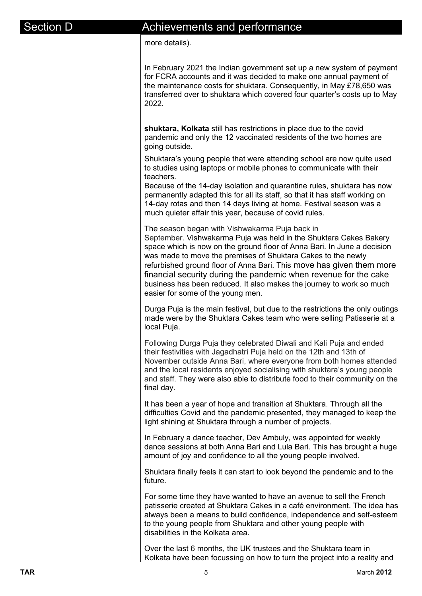## ection D **Achievements and performance**

more details).

In February 2021 the Indian government set up a new system of payment for FCRA accounts and it was decided to make one annual payment of the maintenance costs for shuktara. Consequently, in May £78,650 was transferred over to shuktara which covered four quarter's costs up to May 2022.

**shuktara, Kolkata** still has restrictions in place due to the covid pandemic and only the 12 vaccinated residents of the two homes are going outside.

Shuktara's young people that were attending school are now quite used to studies using laptops or mobile phones to communicate with their teachers.

Because of the 14-day isolation and quarantine rules, shuktara has now permanently adapted this for all its staff, so that it has staff working on 14-day rotas and then 14 days living at home. Festival season was a much quieter affair this year, because of covid rules.

The season began with Vishwakarma Puja back in September. Vishwakarma Puja was held in the Shuktara Cakes Bakery space which is now on the ground floor of Anna Bari. In June a decision was made to move the premises of Shuktara Cakes to the newly refurbished ground floor of Anna Bari. This move has given them more financial security during the pandemic when revenue for the cake business has been reduced. It also makes the journey to work so much easier for some of the young men.

Durga Puja is the main festival, but due to the restrictions the only outings made were by the Shuktara Cakes team who were selling Patisserie at a local Puja.

Following Durga Puja they celebrated Diwali and Kali Puja and ended their festivities with Jagadhatri Puja held on the 12th and 13th of November outside Anna Bari, where everyone from both homes attended and the local residents enjoyed socialising with shuktara's young people and staff. They were also able to distribute food to their community on the final day.

It has been a year of hope and transition at Shuktara. Through all the difficulties Covid and the pandemic presented, they managed to keep the light shining at Shuktara through a number of projects.

In February a dance teacher, Dev Ambuly, was appointed for weekly dance sessions at both Anna Bari and Lula Bari. This has brought a huge amount of joy and confidence to all the young people involved.

Shuktara finally feels it can start to look beyond the pandemic and to the future.

For some time they have wanted to have an avenue to sell the French patisserie created at Shuktara Cakes in a café environment. The idea has always been a means to build confidence, independence and self-esteem to the young people from Shuktara and other young people with disabilities in the Kolkata area.

Over the last 6 months, the UK trustees and the Shuktara team in Kolkata have been focussing on how to turn the project into a reality and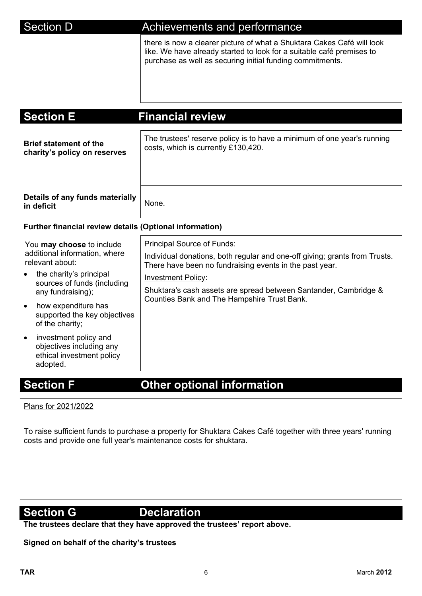## Section D **Achievements and performance**

there is now a clearer picture of what a Shuktara Cakes Café will look like. We have already started to look for a suitable café premises to purchase as well as securing initial funding commitments.

| <b>Section E</b>                                                                                                                                                                                                                                                                                                                                               | <b>Financial review</b>                                                                                                                                                                                                                                                                                             |
|----------------------------------------------------------------------------------------------------------------------------------------------------------------------------------------------------------------------------------------------------------------------------------------------------------------------------------------------------------------|---------------------------------------------------------------------------------------------------------------------------------------------------------------------------------------------------------------------------------------------------------------------------------------------------------------------|
| <b>Brief statement of the</b><br>charity's policy on reserves                                                                                                                                                                                                                                                                                                  | The trustees' reserve policy is to have a minimum of one year's running<br>costs, which is currently £130,420.                                                                                                                                                                                                      |
| Details of any funds materially<br>in deficit                                                                                                                                                                                                                                                                                                                  | None.                                                                                                                                                                                                                                                                                                               |
| <b>Further financial review details (Optional information)</b>                                                                                                                                                                                                                                                                                                 |                                                                                                                                                                                                                                                                                                                     |
| You may choose to include<br>additional information, where<br>relevant about:<br>the charity's principal<br>sources of funds (including<br>any fundraising);<br>how expenditure has<br>$\bullet$<br>supported the key objectives<br>of the charity;<br>investment policy and<br>$\bullet$<br>objectives including any<br>ethical investment policy<br>adopted. | Principal Source of Funds:<br>Individual donations, both regular and one-off giving; grants from Trusts.<br>There have been no fundraising events in the past year.<br><b>Investment Policy:</b><br>Shuktara's cash assets are spread between Santander, Cambridge &<br>Counties Bank and The Hampshire Trust Bank. |

# **Section F Communist Contract Other optional information**

Plans for 2021/2022

To raise sufficient funds to purchase a property for Shuktara Cakes Café together with three years' running costs and provide one full year's maintenance costs for shuktara.

### **Section G** Declaration

**The trustees declare that they have approved the trustees' report above.** 

**Signed on behalf of the charity's trustees**